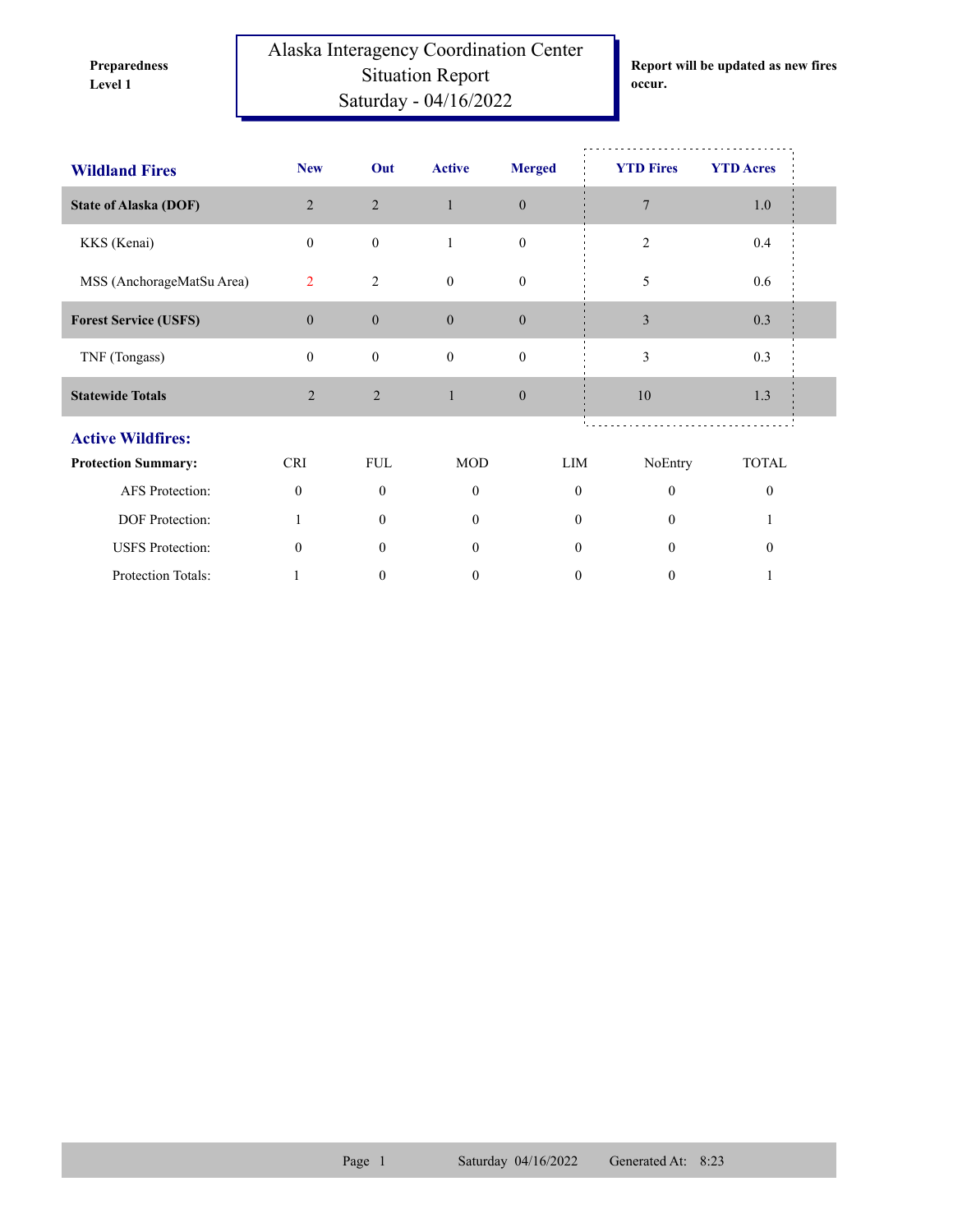**Preparedness** 

Alaska Interagency Coordination Center Situation Report **Level 1 occur.** Saturday - 04/16/2022

**Report will be updated as new fires** 

| <b>Wildland Fires</b>        | <b>New</b>       | Out              | <b>Active</b>    | <b>Merged</b>    | <b>YTD Fires</b> | <b>YTD</b> Acres |  |
|------------------------------|------------------|------------------|------------------|------------------|------------------|------------------|--|
|                              |                  |                  |                  |                  |                  |                  |  |
| <b>State of Alaska (DOF)</b> | $\overline{2}$   | $\sqrt{2}$       | $\mathbf{1}$     | $\boldsymbol{0}$ | $\overline{7}$   | 1.0              |  |
| KKS (Kenai)                  | $\mathbf{0}$     | $\boldsymbol{0}$ | $\mathbf{1}$     | $\mathbf{0}$     | $\overline{2}$   | 0.4              |  |
| MSS (AnchorageMatSu Area)    | 2                | $\overline{2}$   | $\mathbf{0}$     | $\mathbf{0}$     | 5                | 0.6              |  |
| <b>Forest Service (USFS)</b> | $\boldsymbol{0}$ | $\boldsymbol{0}$ | $\overline{0}$   | $\boldsymbol{0}$ | 3                | 0.3              |  |
| TNF (Tongass)                | $\mathbf{0}$     | $\boldsymbol{0}$ | $\boldsymbol{0}$ | $\boldsymbol{0}$ | 3                | 0.3              |  |
| <b>Statewide Totals</b>      | $\overline{2}$   | 2                | $\mathbf{1}$     | $\mathbf{0}$     | 10               | 1.3              |  |
| <b>Active Wildfires:</b>     |                  |                  |                  |                  |                  |                  |  |
| <b>Protection Summary:</b>   | <b>CRI</b>       | <b>FUL</b>       | <b>MOD</b>       | LIM              | NoEntry          | <b>TOTAL</b>     |  |
| AFS Protection:              | $\mathbf{0}$     | $\overline{0}$   | $\mathbf{0}$     | $\mathbf{0}$     | $\mathbf{0}$     | $\mathbf{0}$     |  |
| DOF Protection:              | 1                | $\overline{0}$   | $\mathbf{0}$     | $\mathbf{0}$     | $\overline{0}$   | 1                |  |
| <b>USFS</b> Protection:      | $\theta$         | $\Omega$         | $\theta$         | $\theta$         | $\mathbf{0}$     | $\Omega$         |  |
| Protection Totals:           | 1                | $\mathbf{0}$     | $\mathbf{0}$     | $\boldsymbol{0}$ | $\mathbf{0}$     |                  |  |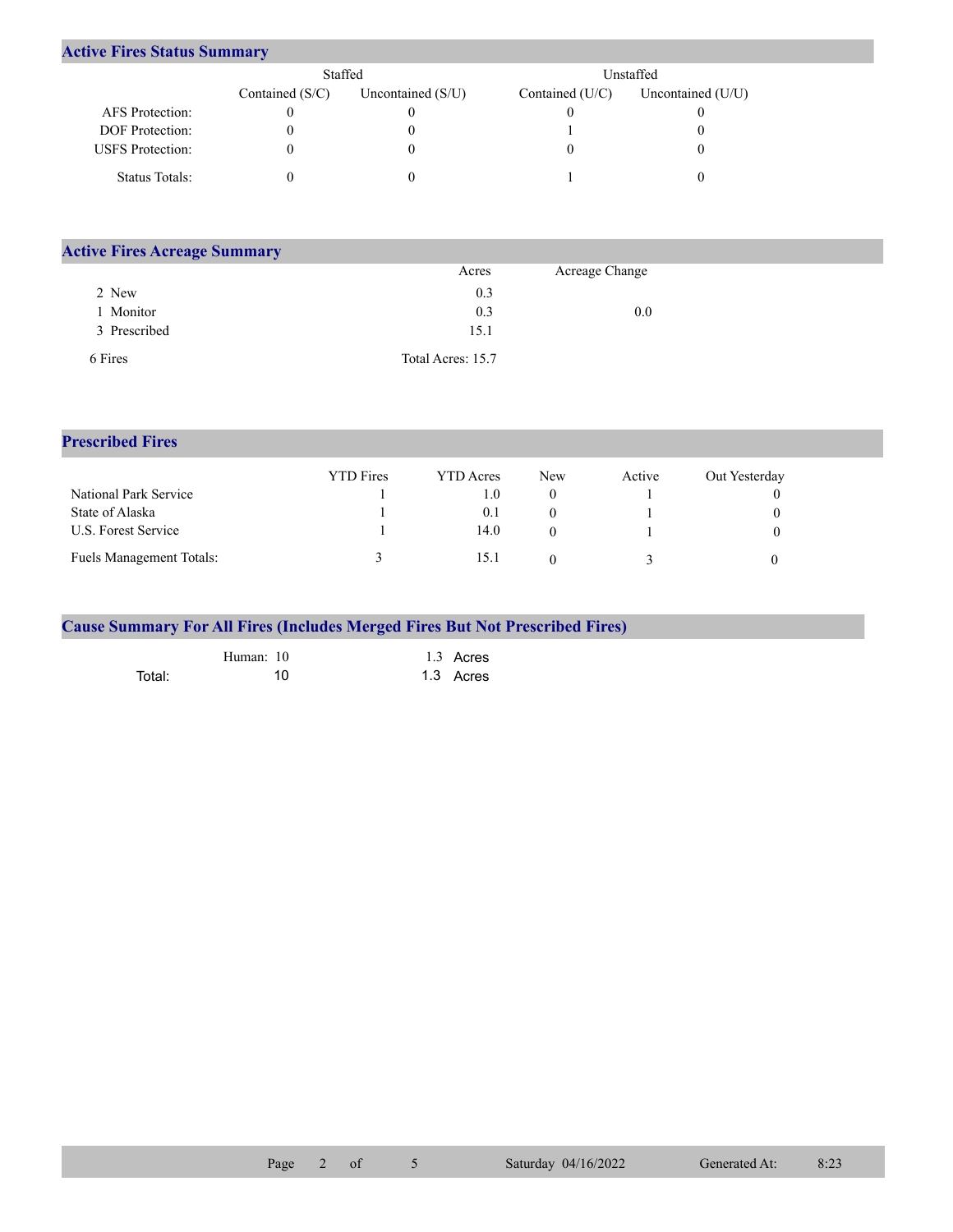| <b>Active Fires Status Summary</b> |
|------------------------------------|
|------------------------------------|

|                         | Staffed           |                     |                   | Unstaffed           |  |
|-------------------------|-------------------|---------------------|-------------------|---------------------|--|
|                         | Contained $(S/C)$ | Uncontained $(S/U)$ | Contained $(U/C)$ | Uncontained $(U/U)$ |  |
| AFS Protection:         |                   |                     |                   |                     |  |
| <b>DOF</b> Protection:  | 0                 |                     |                   |                     |  |
| <b>USFS</b> Protection: |                   |                     |                   |                     |  |
| Status Totals:          | O                 |                     |                   |                     |  |

| <b>Active Fires Acreage Summary</b> |                   |                |  |
|-------------------------------------|-------------------|----------------|--|
|                                     | Acres             | Acreage Change |  |
| 2 New                               | 0.3               |                |  |
| Monitor                             | 0.3               | 0.0            |  |
| 3 Prescribed                        | 15.1              |                |  |
| 6 Fires                             | Total Acres: 15.7 |                |  |

## **Prescribed Fires**

|                                 | <b>YTD</b> Fires | YTD Acres | <b>New</b> | Active | Out Yesterday |
|---------------------------------|------------------|-----------|------------|--------|---------------|
| National Park Service           |                  | (0, 1)    |            |        |               |
| State of Alaska                 |                  | 0.1       |            |        |               |
| U.S. Forest Service             |                  | 14.0      |            |        |               |
| <b>Fuels Management Totals:</b> |                  | 15.1      |            |        |               |

|        |           | <b>Cause Summary For All Fires (Includes Merged Fires But Not Prescribed Fires)</b> |  |
|--------|-----------|-------------------------------------------------------------------------------------|--|
|        | Human: 10 | 1.3 Acres                                                                           |  |
| Total: | 10        | 1.3 Acres                                                                           |  |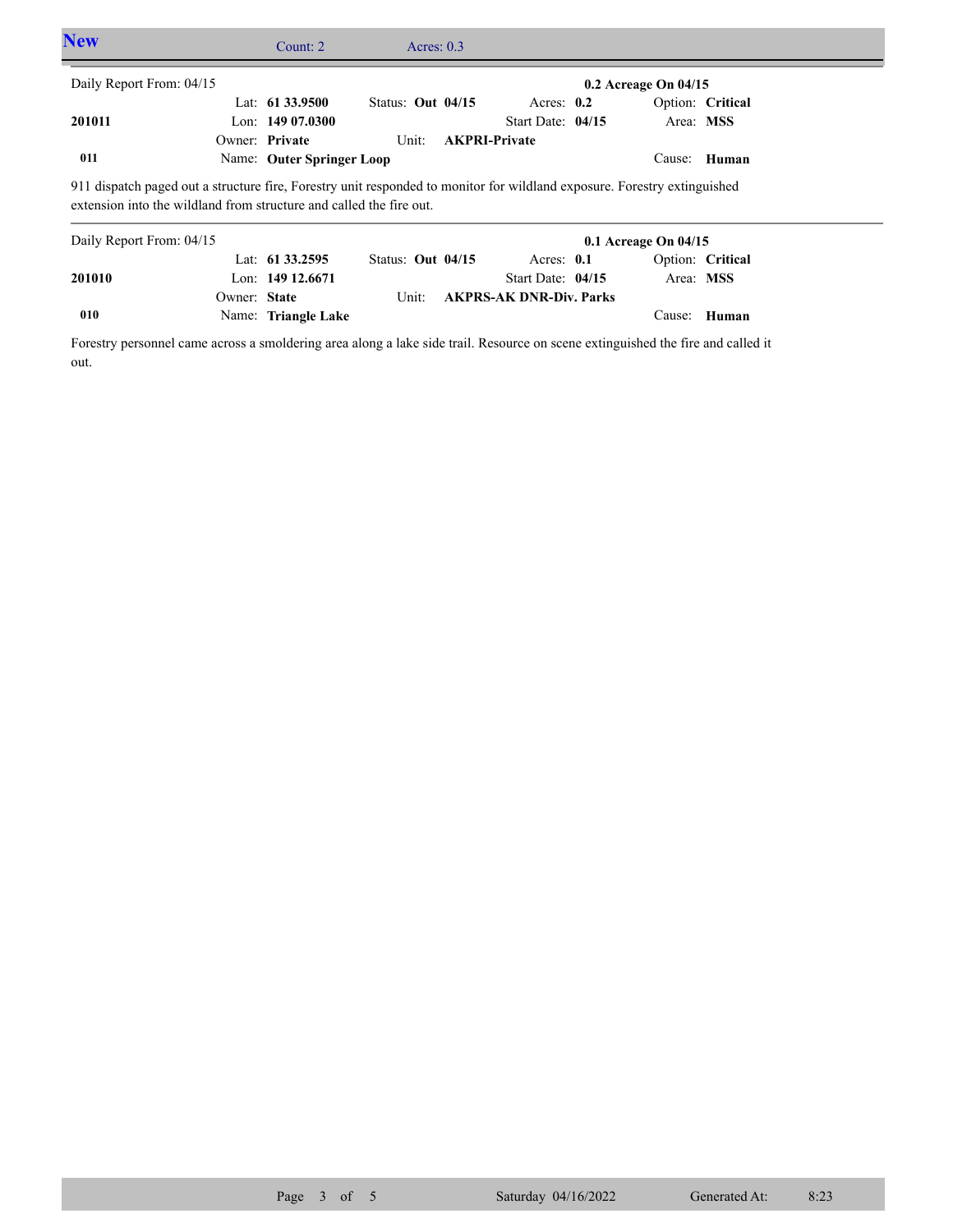| <b>New</b>                                                                                                                                                                                                                  |              | Count: $2 \overline{ }$                                   |                              | Acres: $0.3$ |                                                             |                          |                  |  |
|-----------------------------------------------------------------------------------------------------------------------------------------------------------------------------------------------------------------------------|--------------|-----------------------------------------------------------|------------------------------|--------------|-------------------------------------------------------------|--------------------------|------------------|--|
| Daily Report From: 04/15                                                                                                                                                                                                    |              |                                                           |                              |              |                                                             | $0.2$ Acreage On $04/15$ |                  |  |
| 201011                                                                                                                                                                                                                      |              | Lat: $61\,33.9500$<br>Lon: $14907.0300$<br>Owner: Private | Status: Out $04/15$<br>Unit: |              | Acres: $0.2$<br>Start Date: $04/15$<br><b>AKPRI-Private</b> | Area: MSS                | Option: Critical |  |
| 011                                                                                                                                                                                                                         |              | Name: Outer Springer Loop                                 |                              |              |                                                             | Cause:                   | Human            |  |
| 911 dispatch paged out a structure fire, Forestry unit responded to monitor for wildland exposure. Forestry extinguished<br>extension into the wildland from structure and called the fire out.<br>Daily Report From: 04/15 |              |                                                           |                              |              |                                                             | $0.1$ Acreage On $04/15$ |                  |  |
|                                                                                                                                                                                                                             |              | Lat: $61\,33.2595$                                        | Status: Out $04/15$          |              | Acres: $0.1$                                                |                          | Option: Critical |  |
| 201010                                                                                                                                                                                                                      | Owner: State | Lon: $149$ 12.6671                                        | Unit:                        |              | Start Date: $04/15$<br><b>AKPRS-AK DNR-Div. Parks</b>       | Area: MSS                |                  |  |

Forestry personnel came across a smoldering area along a lake side trail. Resource on scene extinguished the fire and called it out.

Name: **Triangle Lake**

**010**

Cause: **Human**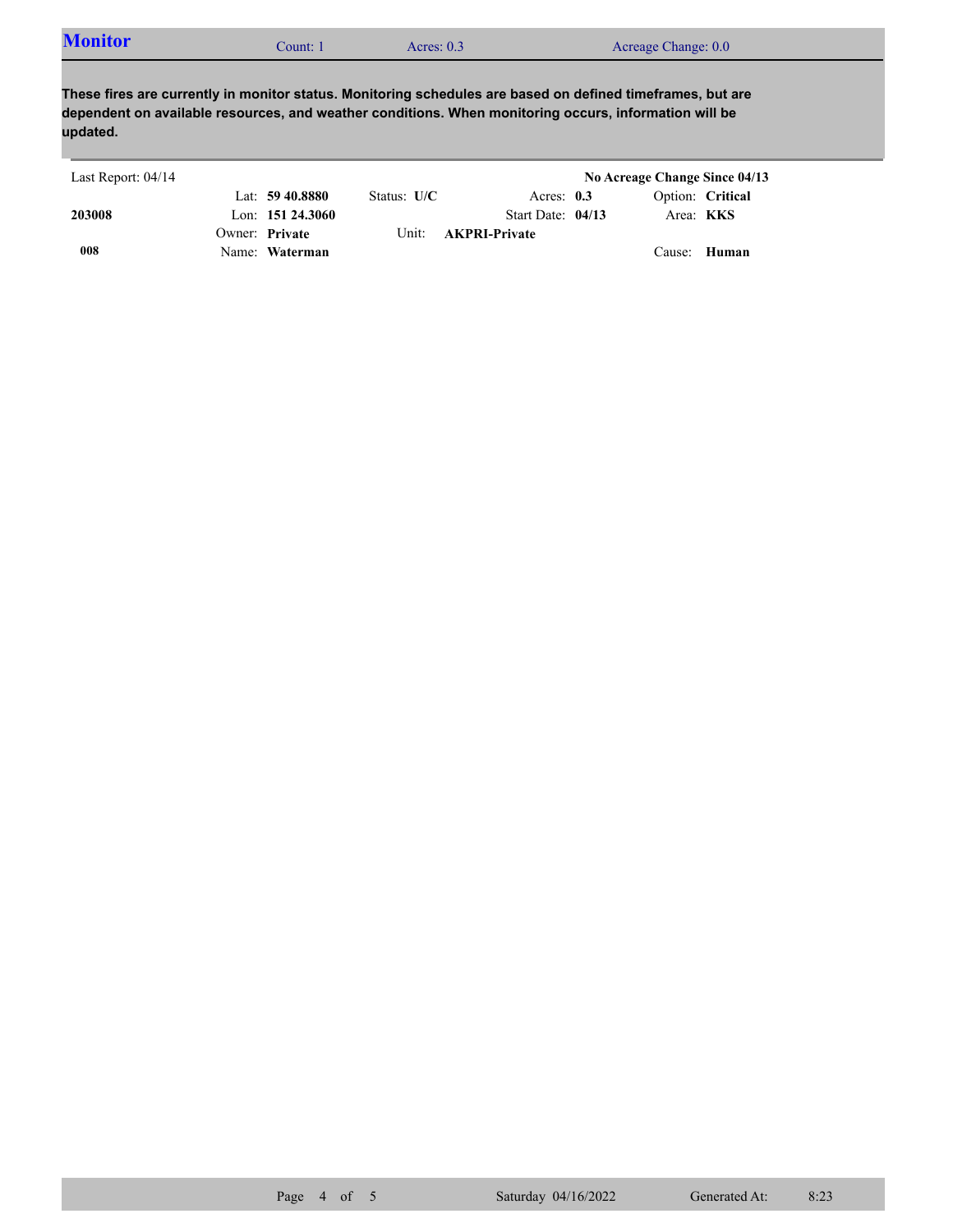| <b>Monitor</b><br>Acreage Change: 0.0<br>Acres: $0.3$<br>. :ount: |  |  |
|-------------------------------------------------------------------|--|--|
|-------------------------------------------------------------------|--|--|

**These fires are currently in monitor status. Monitoring schedules are based on defined timeframes, but are dependent on available resources, and weather conditions. When monitoring occurs, information will be updated.**

| Last Report: 04/14 |                     |               |                      | No Acreage Change Since 04/13 |  |
|--------------------|---------------------|---------------|----------------------|-------------------------------|--|
|                    | Lat: $59\,40.8880$  | Status: $U/C$ | Acres: $0.3$         | Option: Critical              |  |
| 203008             | Lon: $151\,24.3060$ |               | Start Date: $04/13$  | Area: <b>KKS</b>              |  |
|                    | Owner: Private      | Unit: -       | <b>AKPRI-Private</b> |                               |  |
| 008                | Name: Waterman      |               |                      | Cause: Human                  |  |